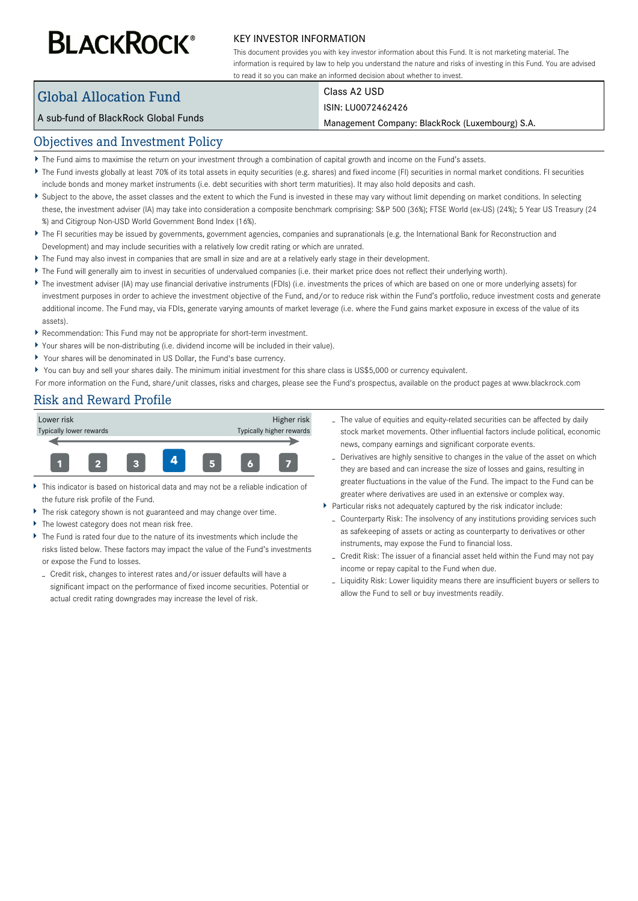# **BLACKROCK®**

#### KEY INVESTOR INFORMATION

This document provides you with key investor information about this Fund. It is not marketing material. The information is required by law to help you understand the nature and risks of investing in this Fund. You are advised to read it so you can make an informed decision about whether to invest.

# Global Allocation Fund

Class A2 USD

#### A sub-fund of BlackRock Global Funds

#### ISIN: LU0072462426

Management Company: BlackRock (Luxembourg) S.A.

## Objectives and Investment Policy

- The Fund aims to maximise the return on your investment through a combination of capital growth and income on the Fund's assets.
- ▶ The Fund invests globally at least 70% of its total assets in equity securities (e.g. shares) and fixed income (FI) securities in normal market conditions. FI securities include bonds and money market instruments (i.e. debt securities with short term maturities). It may also hold deposits and cash.
- Subject to the above, the asset classes and the extent to which the Fund is invested in these may vary without limit depending on market conditions. In selecting these, the investment adviser (IA) may take into consideration a composite benchmark comprising: S&P 500 (36%); FTSE World (ex-US) (24%); 5 Year US Treasury (24 %) and Citigroup Non-USD World Government Bond Index (16%).
- ▶ The FI securities may be issued by governments, government agencies, companies and supranationals (e.g. the International Bank for Reconstruction and Development) and may include securities with a relatively low credit rating or which are unrated.
- The Fund may also invest in companies that are small in size and are at a relatively early stage in their development.
- The Fund will generally aim to invest in securities of undervalued companies (i.e. their market price does not reflect their underlying worth).
- ▶ The investment adviser (IA) may use financial derivative instruments (FDIs) (i.e. investments the prices of which are based on one or more underlying assets) for investment purposes in order to achieve the investment objective of the Fund, and/or to reduce risk within the Fund's portfolio, reduce investment costs and generate additional income. The Fund may, via FDIs, generate varying amounts of market leverage (i.e. where the Fund gains market exposure in excess of the value of its assets).
- Recommendation: This Fund may not be appropriate for short-term investment.
- Your shares will be non-distributing (i.e. dividend income will be included in their value).
- Your shares will be denominated in US Dollar, the Fund's base currency.
- ▶ You can buy and sell your shares daily. The minimum initial investment for this share class is US\$5,000 or currency equivalent.

For more information on the Fund, share/unit classes, risks and charges, please see the Fund's prospectus, available on the product pages at www.blackrock.com

## Risk and Reward Profile



- This indicator is based on historical data and may not be a reliable indication of the future risk profile of the Fund.
- The risk category shown is not guaranteed and may change over time.
- Þ The lowest category does not mean risk free.
- The Fund is rated four due to the nature of its investments which include the risks listed below. These factors may impact the value of the Fund's investments or expose the Fund to losses.
- Credit risk, changes to interest rates and/or issuer defaults will have a significant impact on the performance of fixed income securities. Potential or actual credit rating downgrades may increase the level of risk.
- The value of equities and equity-related securities can be affected by daily stock market movements. Other influential factors include political, economic news, company earnings and significant corporate events.
- Derivatives are highly sensitive to changes in the value of the asset on which they are based and can increase the size of losses and gains, resulting in greater fluctuations in the value of the Fund. The impact to the Fund can be greater where derivatives are used in an extensive or complex way.
- Particular risks not adequately captured by the risk indicator include:
	- Counterparty Risk: The insolvency of any institutions providing services such as safekeeping of assets or acting as counterparty to derivatives or other instruments, may expose the Fund to financial loss.
	- Credit Risk: The issuer of a financial asset held within the Fund may not pay income or repay capital to the Fund when due.
	- Liquidity Risk: Lower liquidity means there are insufficient buyers or sellers to allow the Fund to sell or buy investments readily.